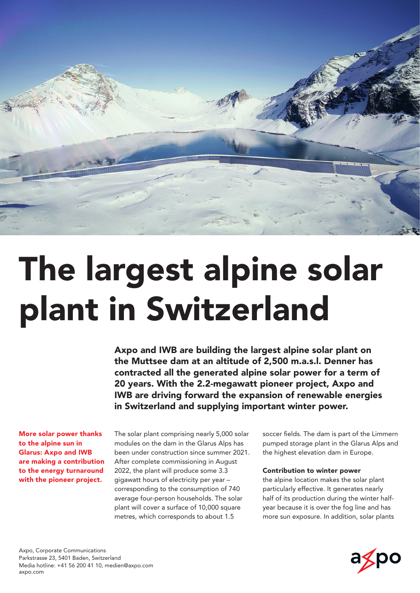

# The largest alpine solar plant in Switzerland

Axpo and IWB are building the largest alpine solar plant on the Muttsee dam at an altitude of 2,500 m.a.s.l. Denner has contracted all the generated alpine solar power for a term of 20 years. With the 2.2-megawatt pioneer project, Axpo and IWB are driving forward the expansion of renewable energies in Switzerland and supplying important winter power.

More solar power thanks to the alpine sun in Glarus: Axpo and IWB are making a contribution to the energy turnaround with the pioneer project.

The solar plant comprising nearly 5,000 solar modules on the dam in the Glarus Alps has been under construction since summer 2021. After complete commissioning in August 2022, the plant will produce some 3.3 gigawatt hours of electricity per year – corresponding to the consumption of 740 average four-person households. The solar plant will cover a surface of 10,000 square metres, which corresponds to about 1.5

soccer fields. The dam is part of the Limmern pumped storage plant in the Glarus Alps and the highest elevation dam in Europe.

### Contribution to winter power

the alpine location makes the solar plant particularly effective. It generates nearly half of its production during the winter halfyear because it is over the fog line and has more sun exposure. In addition, solar plants